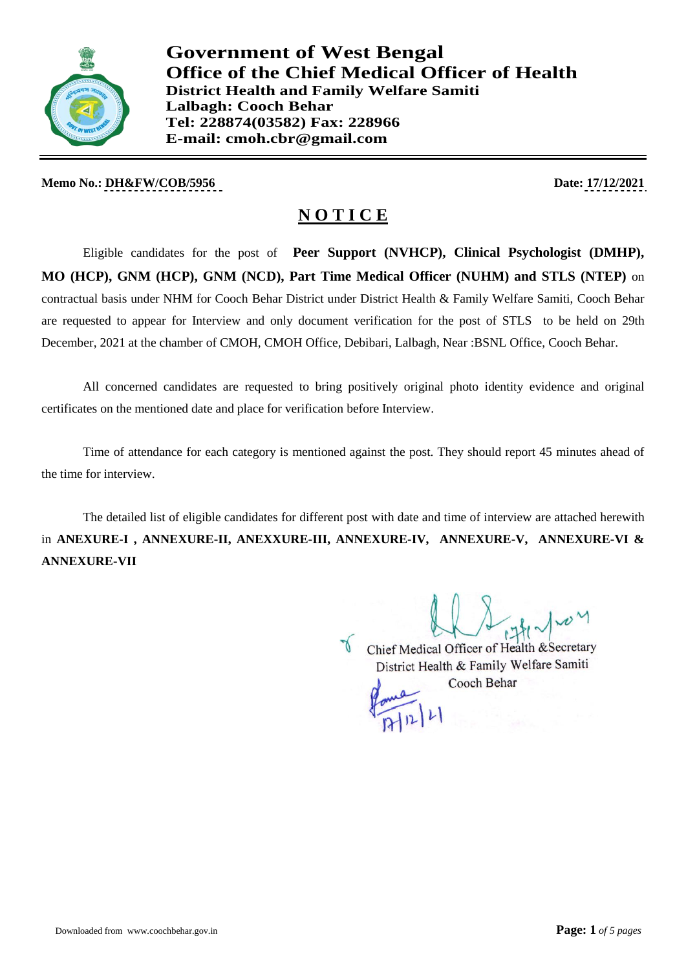

**Government of West Bengal Office of the Chief Medical Officer of Health District Health and Family Welfare Samiti Lalbagh: Cooch Behar Tel: 228874(03582) Fax: 228966 E-mail: cmoh.cbr@gmail.com**

**Memo No.: DH&FW/COB/5956** Date: 17/12/2021

# **N O T I C E**

Eligible candidates for the post of **Peer Support (NVHCP), Clinical Psychologist (DMHP), MO (HCP), GNM (HCP), GNM (NCD), Part Time Medical Officer (NUHM) and STLS (NTEP)** on contractual basis under NHM for Cooch Behar District under District Health & Family Welfare Samiti, Cooch Behar are requested to appear for Interview and only document verification for the post of STLS to be held on 29th December, 2021 at the chamber of CMOH, CMOH Office, Debibari, Lalbagh, Near :BSNL Office, Cooch Behar.

All concerned candidates are requested to bring positively original photo identity evidence and original certificates on the mentioned date and place for verification before Interview.

Time of attendance for each category is mentioned against the post. They should report 45 minutes ahead of the time for interview.

The detailed list of eligible candidates for different post with date and time of interview are attached herewith in **ANEXURE-I , ANNEXURE-II, ANEXXURE-III, ANNEXURE-IV, ANNEXURE-V, ANNEXURE-VI & ANNEXURE-VII**

Chief Medical Officer of Health & Secretary

District Health & Family Welfare Samiti Cooch Behar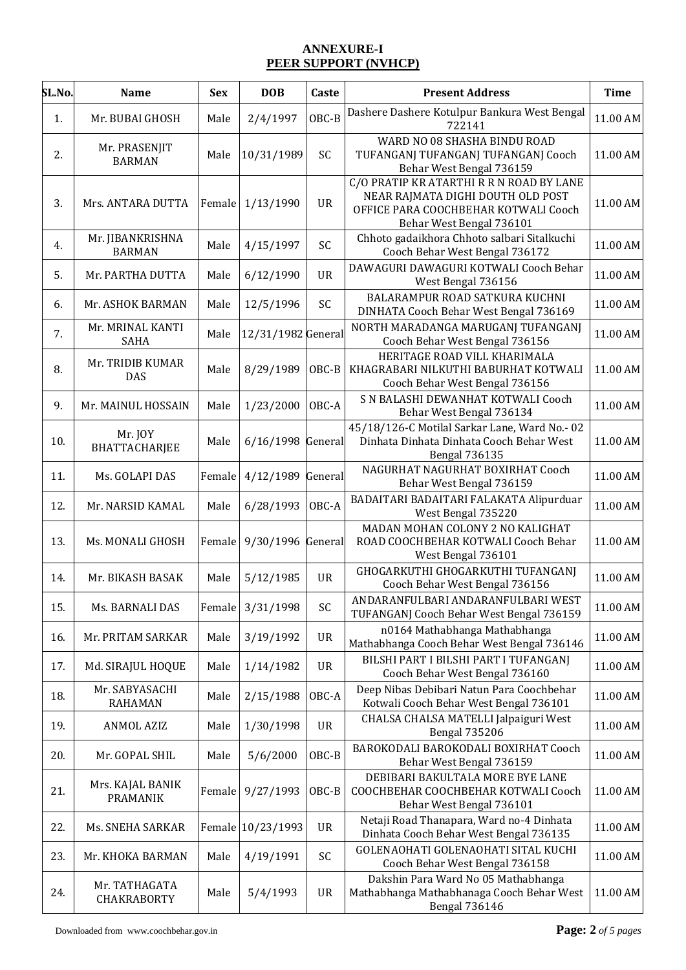#### **ANNEXURE-I PEER SUPPORT (NVHCP)**

| SL.No. | <b>Name</b>                         | <b>Sex</b> | <b>DOB</b>         | Caste     | <b>Present Address</b>                                                                                                                            | <b>Time</b> |
|--------|-------------------------------------|------------|--------------------|-----------|---------------------------------------------------------------------------------------------------------------------------------------------------|-------------|
| 1.     | Mr. BUBAI GHOSH                     | Male       | 2/4/1997           | OBC-B     | Dashere Dashere Kotulpur Bankura West Bengal<br>722141                                                                                            | 11.00 AM    |
| 2.     | Mr. PRASENJIT<br><b>BARMAN</b>      | Male       | 10/31/1989         | SC        | WARD NO 08 SHASHA BINDU ROAD<br>TUFANGANJ TUFANGANJ TUFANGANJ Cooch<br>Behar West Bengal 736159                                                   | 11.00 AM    |
| 3.     | Mrs. ANTARA DUTTA                   | Female     | 1/13/1990          | <b>UR</b> | C/O PRATIP KR ATARTHI R R N ROAD BY LANE<br>NEAR RAJMATA DIGHI DOUTH OLD POST<br>OFFICE PARA COOCHBEHAR KOTWALI Cooch<br>Behar West Bengal 736101 | 11.00 AM    |
| 4.     | Mr. JIBANKRISHNA<br><b>BARMAN</b>   | Male       | 4/15/1997          | SC        | Chhoto gadaikhora Chhoto salbari Sitalkuchi<br>Cooch Behar West Bengal 736172                                                                     | 11.00 AM    |
| 5.     | Mr. PARTHA DUTTA                    | Male       | 6/12/1990          | <b>UR</b> | DAWAGURI DAWAGURI KOTWALI Cooch Behar<br>West Bengal 736156                                                                                       | 11.00 AM    |
| 6.     | Mr. ASHOK BARMAN                    | Male       | 12/5/1996          | SC        | BALARAMPUR ROAD SATKURA KUCHNI<br>DINHATA Cooch Behar West Bengal 736169                                                                          | 11.00 AM    |
| 7.     | Mr. MRINAL KANTI<br><b>SAHA</b>     | Male       | 12/31/1982 General |           | NORTH MARADANGA MARUGANJ TUFANGANJ<br>Cooch Behar West Bengal 736156                                                                              | 11.00 AM    |
| 8.     | Mr. TRIDIB KUMAR<br><b>DAS</b>      | Male       | 8/29/1989          | OBC-B     | HERITAGE ROAD VILL KHARIMALA<br>KHAGRABARI NILKUTHI BABURHAT KOTWALI<br>Cooch Behar West Bengal 736156                                            | 11.00 AM    |
| 9.     | Mr. MAINUL HOSSAIN                  | Male       | 1/23/2000          | OBC-A     | S N BALASHI DEWANHAT KOTWALI Cooch<br>Behar West Bengal 736134                                                                                    | 11.00 AM    |
| 10.    | Mr. JOY<br><b>BHATTACHARJEE</b>     | Male       | 6/16/1998          | General   | 45/18/126-C Motilal Sarkar Lane, Ward No.- 02<br>Dinhata Dinhata Dinhata Cooch Behar West<br><b>Bengal 736135</b>                                 | 11.00 AM    |
| 11.    | Ms. GOLAPI DAS                      | Female     | 4/12/1989          | General   | NAGURHAT NAGURHAT BOXIRHAT Cooch<br>Behar West Bengal 736159                                                                                      | 11.00 AM    |
| 12.    | Mr. NARSID KAMAL                    | Male       | 6/28/1993          | OBC-A     | BADAITARI BADAITARI FALAKATA Alipurduar<br>West Bengal 735220                                                                                     | 11.00 AM    |
| 13.    | Ms. MONALI GHOSH                    | Female     | 9/30/1996          | General   | MADAN MOHAN COLONY 2 NO KALIGHAT<br>ROAD COOCHBEHAR KOTWALI Cooch Behar<br>West Bengal 736101                                                     | 11.00 AM    |
| 14.    | Mr. BIKASH BASAK                    | Male       | 5/12/1985          | <b>UR</b> | GHOGARKUTHI GHOGARKUTHI TUFANGANJ<br>Cooch Behar West Bengal 736156                                                                               | 11.00 AM    |
| 15.    | Ms. BARNALI DAS                     | Female     | 3/31/1998          | SC        | ANDARANFULBARI ANDARANFULBARI WEST<br>TUFANGANJ Cooch Behar West Bengal 736159                                                                    | 11.00 AM    |
| 16.    | Mr. PRITAM SARKAR                   | Male       | 3/19/1992          | <b>UR</b> | n0164 Mathabhanga Mathabhanga<br>Mathabhanga Cooch Behar West Bengal 736146                                                                       | 11.00 AM    |
| 17.    | Md. SIRAJUL HOQUE                   | Male       | 1/14/1982          | <b>UR</b> | BILSHI PART I BILSHI PART I TUFANGANJ<br>Cooch Behar West Bengal 736160                                                                           | 11.00 AM    |
| 18.    | Mr. SABYASACHI<br><b>RAHAMAN</b>    | Male       | 2/15/1988          | OBC-A     | Deep Nibas Debibari Natun Para Coochbehar<br>Kotwali Cooch Behar West Bengal 736101                                                               | 11.00 AM    |
| 19.    | <b>ANMOL AZIZ</b>                   | Male       | 1/30/1998          | <b>UR</b> | CHALSA CHALSA MATELLI Jalpaiguri West<br><b>Bengal 735206</b>                                                                                     | 11.00 AM    |
| 20.    | Mr. GOPAL SHIL                      | Male       | 5/6/2000           | OBC-B     | BAROKODALI BAROKODALI BOXIRHAT Cooch<br>Behar West Bengal 736159                                                                                  | 11.00 AM    |
| 21.    | Mrs. KAJAL BANIK<br><b>PRAMANIK</b> | Female     | 9/27/1993          | OBC-B     | DEBIBARI BAKULTALA MORE BYE LANE<br>COOCHBEHAR COOCHBEHAR KOTWALI Cooch<br>Behar West Bengal 736101                                               | 11.00 AM    |
| 22.    | Ms. SNEHA SARKAR                    |            | Female 10/23/1993  | UR        | Netaji Road Thanapara, Ward no-4 Dinhata<br>Dinhata Cooch Behar West Bengal 736135                                                                | 11.00 AM    |
| 23.    | Mr. KHOKA BARMAN                    | Male       | 4/19/1991          | SC        | GOLENAOHATI GOLENAOHATI SITAL KUCHI<br>Cooch Behar West Bengal 736158                                                                             | 11.00 AM    |
| 24.    | Mr. TATHAGATA<br><b>CHAKRABORTY</b> | Male       | 5/4/1993           | <b>UR</b> | Dakshin Para Ward No 05 Mathabhanga<br>Mathabhanga Mathabhanaga Cooch Behar West<br><b>Bengal 736146</b>                                          | 11.00 AM    |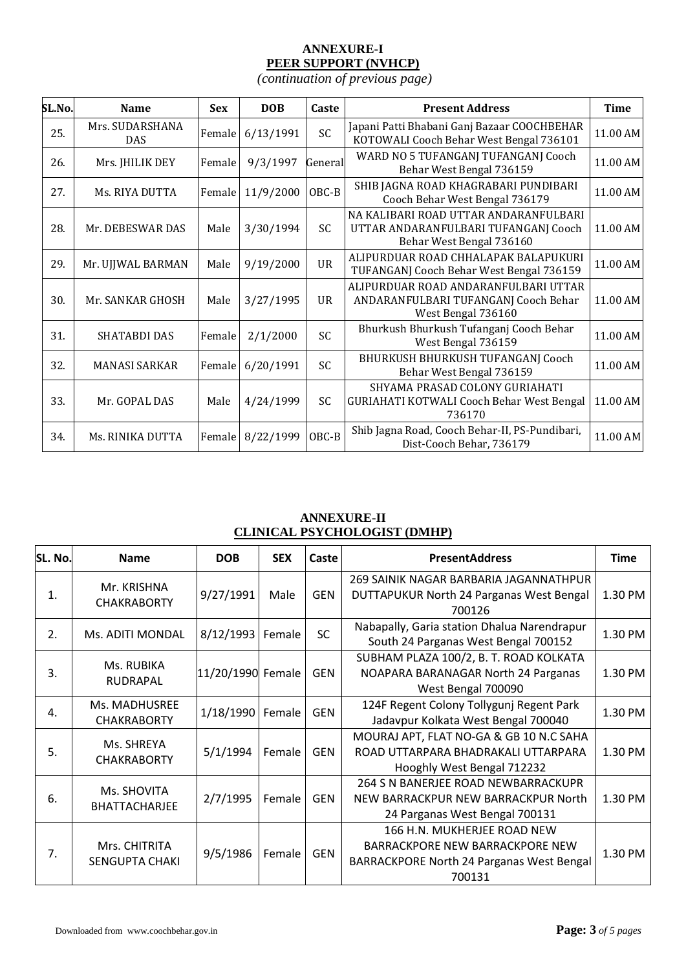## **ANNEXURE-I PEER SUPPORT (NVHCP)**

*(continuation of previous page)*

| SL.No. | <b>Name</b>                   | <b>Sex</b> | <b>DOB</b> | Caste     | <b>Present Address</b>                                                                                    |          |
|--------|-------------------------------|------------|------------|-----------|-----------------------------------------------------------------------------------------------------------|----------|
| 25.    | Mrs. SUDARSHANA<br><b>DAS</b> | Female     | 6/13/1991  | SC        | Japani Patti Bhabani Ganj Bazaar COOCHBEHAR<br>KOTOWALI Cooch Behar West Bengal 736101                    | 11.00 AM |
| 26.    | Mrs. JHILIK DEY               | Female     | 9/3/1997   | General   | WARD NO 5 TUFANGANJ TUFANGANJ Cooch<br>Behar West Bengal 736159                                           | 11.00 AM |
| 27.    | Ms. RIYA DUTTA                | Female     | 11/9/2000  | OBC-B     | SHIB JAGNA ROAD KHAGRABARI PUNDIBARI<br>Cooch Behar West Bengal 736179                                    | 11.00 AM |
| 28.    | Mr. DEBESWAR DAS              | Male       | 3/30/1994  | SC        | NA KALIBARI ROAD UTTAR ANDARANFULBARI<br>UTTAR ANDARANFULBARI TUFANGANJ Cooch<br>Behar West Bengal 736160 | 11.00 AM |
| 29.    | Mr. UJJWAL BARMAN             | Male       | 9/19/2000  | <b>UR</b> | ALIPURDUAR ROAD CHHALAPAK BALAPUKURI<br>TUFANGANJ Cooch Behar West Bengal 736159                          | 11.00 AM |
| 30.    | Mr. SANKAR GHOSH              | Male       | 3/27/1995  | UR        | ALIPURDUAR ROAD ANDARANFULBARI UTTAR<br>ANDARANFULBARI TUFANGANJ Cooch Behar<br>West Bengal 736160        | 11.00 AM |
| 31.    | SHATABDI DAS                  | Female     | 2/1/2000   | SC        | Bhurkush Bhurkush Tufanganj Cooch Behar<br>West Bengal 736159                                             | 11.00 AM |
| 32.    | <b>MANASI SARKAR</b>          | Female     | 6/20/1991  | SC        | BHURKUSH BHURKUSH TUFANGANJ Cooch<br>Behar West Bengal 736159                                             | 11.00 AM |
| 33.    | Mr. GOPAL DAS                 | Male       | 4/24/1999  | SC        | SHYAMA PRASAD COLONY GURIAHATI<br><b>GURIAHATI KOTWALI Cooch Behar West Bengal</b><br>736170              | 11.00 AM |
| 34.    | Ms. RINIKA DUTTA              | Female     | 8/22/1999  | OBC-B     | Shib Jagna Road, Cooch Behar-II, PS-Pundibari,<br>Dist-Cooch Behar, 736179                                | 11.00 AM |

## **ANNEXURE-II CLINICAL PSYCHOLOGIST (DMHP)**

| SL. No. | <b>Name</b>                       | <b>DOB</b>        | <b>SEX</b> | Caste      | <b>PresentAddress</b>                       | <b>Time</b> |  |
|---------|-----------------------------------|-------------------|------------|------------|---------------------------------------------|-------------|--|
|         |                                   |                   |            |            | 269 SAINIK NAGAR BARBARIA JAGANNATHPUR      |             |  |
| 1.      | Mr. KRISHNA<br><b>CHAKRABORTY</b> | 9/27/1991         | Male       | <b>GEN</b> | DUTTAPUKUR North 24 Parganas West Bengal    | 1.30 PM     |  |
|         |                                   |                   |            |            | 700126                                      |             |  |
| 2.      | Ms. ADITI MONDAL                  | 8/12/1993         | Female     | <b>SC</b>  | Nabapally, Garia station Dhalua Narendrapur | 1.30 PM     |  |
|         |                                   |                   |            |            | South 24 Parganas West Bengal 700152        |             |  |
|         | Ms. RUBIKA                        |                   |            |            | SUBHAM PLAZA 100/2, B. T. ROAD KOLKATA      |             |  |
| 3.      | RUDRAPAL                          | 11/20/1990 Female |            | <b>GEN</b> | NOAPARA BARANAGAR North 24 Parganas         | 1.30 PM     |  |
|         |                                   |                   |            |            | West Bengal 700090                          | 1.30 PM     |  |
| 4.      | Ms. MADHUSREE                     | 1/18/1990         | Female     | <b>GEN</b> | 124F Regent Colony Tollygunj Regent Park    |             |  |
|         | <b>CHAKRABORTY</b>                |                   |            |            | Jadavpur Kolkata West Bengal 700040         |             |  |
|         | Ms. SHREYA                        |                   |            |            | MOURAJ APT, FLAT NO-GA & GB 10 N.C SAHA     |             |  |
| 5.      | <b>CHAKRABORTY</b>                | 5/1/1994          | Female     | <b>GEN</b> | ROAD UTTARPARA BHADRAKALI UTTARPARA         | 1.30 PM     |  |
|         |                                   |                   |            |            | Hooghly West Bengal 712232                  |             |  |
|         | Ms. SHOVITA                       |                   |            |            | 264 S N BANERJEE ROAD NEWBARRACKUPR         |             |  |
| 6.      | BHATTACHARJEE                     | 2/7/1995          | Female     | <b>GEN</b> | NEW BARRACKPUR NEW BARRACKPUR North         | 1.30 PM     |  |
|         |                                   |                   |            |            | 24 Parganas West Bengal 700131              |             |  |
|         |                                   |                   |            |            | 166 H.N. MUKHERJEE ROAD NEW                 |             |  |
| 7.      | Mrs. CHITRITA                     | 9/5/1986          | Female     | <b>GEN</b> | <b>BARRACKPORE NEW BARRACKPORE NEW</b>      | 1.30 PM     |  |
|         | <b>SENGUPTA CHAKI</b>             |                   |            |            | BARRACKPORE North 24 Parganas West Bengal   |             |  |
|         |                                   |                   |            |            | 700131                                      |             |  |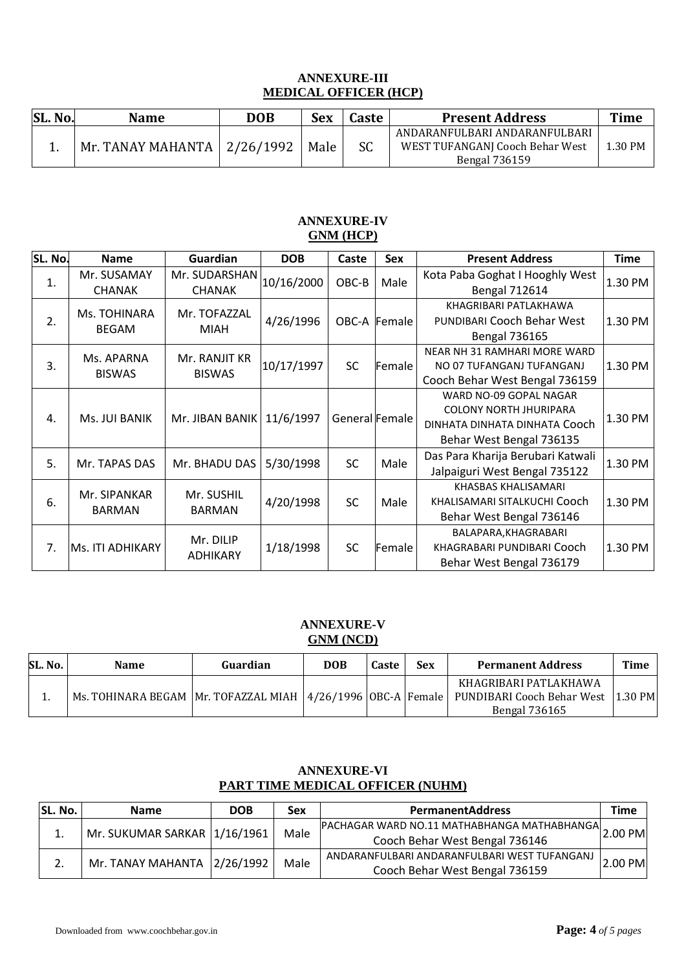# **ANNEXURE-III MEDICAL OFFICER (HCP)**

| <b>SL. No.</b> | <b>Name</b>                   | <b>DOB</b> | <b>Sex</b> | Caste     | <b>Present Address</b>                                                                   | Time    |
|----------------|-------------------------------|------------|------------|-----------|------------------------------------------------------------------------------------------|---------|
|                | Mr. TANAY MAHANTA   2/26/1992 |            | Male       | <b>SC</b> | ANDARANFULBARI ANDARANFULBARI<br>WEST TUFANGANJ Cooch Behar West<br><b>Bengal 736159</b> | 1.30 PM |

## **ANNEXURE-IV GNM (HCP)**

| SL. No. | <b>Name</b>                   | <b>Guardian</b>                | <b>DOB</b> | Caste          | <b>Sex</b>   | <b>Present Address</b>                                                                                               | <b>Time</b> |
|---------|-------------------------------|--------------------------------|------------|----------------|--------------|----------------------------------------------------------------------------------------------------------------------|-------------|
| 1.      | Mr. SUSAMAY<br><b>CHANAK</b>  | Mr. SUDARSHAN<br><b>CHANAK</b> | 10/16/2000 | OBC-B          | Male         | Kota Paba Goghat I Hooghly West<br><b>Bengal 712614</b>                                                              | 1.30 PM     |
| 2.      | Ms. TOHINARA<br><b>BEGAM</b>  | Mr. TOFAZZAL<br><b>MIAH</b>    | 4/26/1996  |                | OBC-A Female | KHAGRIBARI PATLAKHAWA<br><b>PUNDIBARI Cooch Behar West</b><br><b>Bengal 736165</b>                                   | 1.30 PM     |
| 3.      | Ms. APARNA<br><b>BISWAS</b>   | Mr. RANJIT KR<br><b>BISWAS</b> | 10/17/1997 | SC             | Female       | <b>NEAR NH 31 RAMHARI MORE WARD</b><br>NO 07 TUFANGANJ TUFANGANJ<br>Cooch Behar West Bengal 736159                   | 1.30 PM     |
| 4.      | Ms. JUI BANIK                 | Mr. JIBAN BANIK   11/6/1997    |            | General Female |              | WARD NO-09 GOPAL NAGAR<br><b>COLONY NORTH JHURIPARA</b><br>DINHATA DINHATA DINHATA Cooch<br>Behar West Bengal 736135 | 1.30 PM     |
| 5.      | Mr. TAPAS DAS                 | Mr. BHADU DAS                  | 5/30/1998  | <b>SC</b>      | Male         | Das Para Kharija Berubari Katwali<br>Jalpaiguri West Bengal 735122                                                   | 1.30 PM     |
| 6.      | Mr. SIPANKAR<br><b>BARMAN</b> | Mr. SUSHIL<br><b>BARMAN</b>    | 4/20/1998  | <b>SC</b>      | Male         | KHASBAS KHALISAMARI<br>KHALISAMARI SITALKUCHI Cooch<br>Behar West Bengal 736146                                      | 1.30 PM     |
| 7.      | <b>Ms. ITI ADHIKARY</b>       | Mr. DILIP<br><b>ADHIKARY</b>   | 1/18/1998  | SC             | Female       | BALAPARA, KHAGRABARI<br>KHAGRABARI PUNDIBARI Cooch<br>Behar West Bengal 736179                                       | 1.30 PM     |

## **ANNEXURE-V GNM (NCD)**

| SL. No. | <b>Name</b>                                                 | Guardian | <b>DOB</b> | Caste | Sex | <b>Permanent Address</b>                                             | Time      |
|---------|-------------------------------------------------------------|----------|------------|-------|-----|----------------------------------------------------------------------|-----------|
|         | Ms. TOHINARA BEGAM Mr. TOFAZZAL MIAH 4/26/1996 OBC-A Female |          |            |       |     | KHAGRIBARI PATLAKHAWA<br>PUNDIBARI Cooch Behar West<br>Bengal 736165 | $1.30$ PM |

## **ANNEXURE-VI PART TIME MEDICAL OFFICER (NUHM)**

| SL. No. | <b>Name</b>                    | <b>DOB</b> | Sex  | <b>PermanentAddress</b>                             | Time    |
|---------|--------------------------------|------------|------|-----------------------------------------------------|---------|
|         | Mr. SUKUMAR SARKAR 1/16/1961   |            | Male | PACHAGAR WARD NO.11 MATHABHANGA MATHABHANGA 2.00 PM |         |
|         |                                |            |      | Cooch Behar West Bengal 736146                      |         |
|         | Mr. TANAY MAHANTA $ 2/26/1992$ |            | Male | ANDARANFULBARI ANDARANFULBARI WEST TUFANGANJ        |         |
| 2.      |                                |            |      | Cooch Behar West Bengal 736159                      | 2.00 PM |